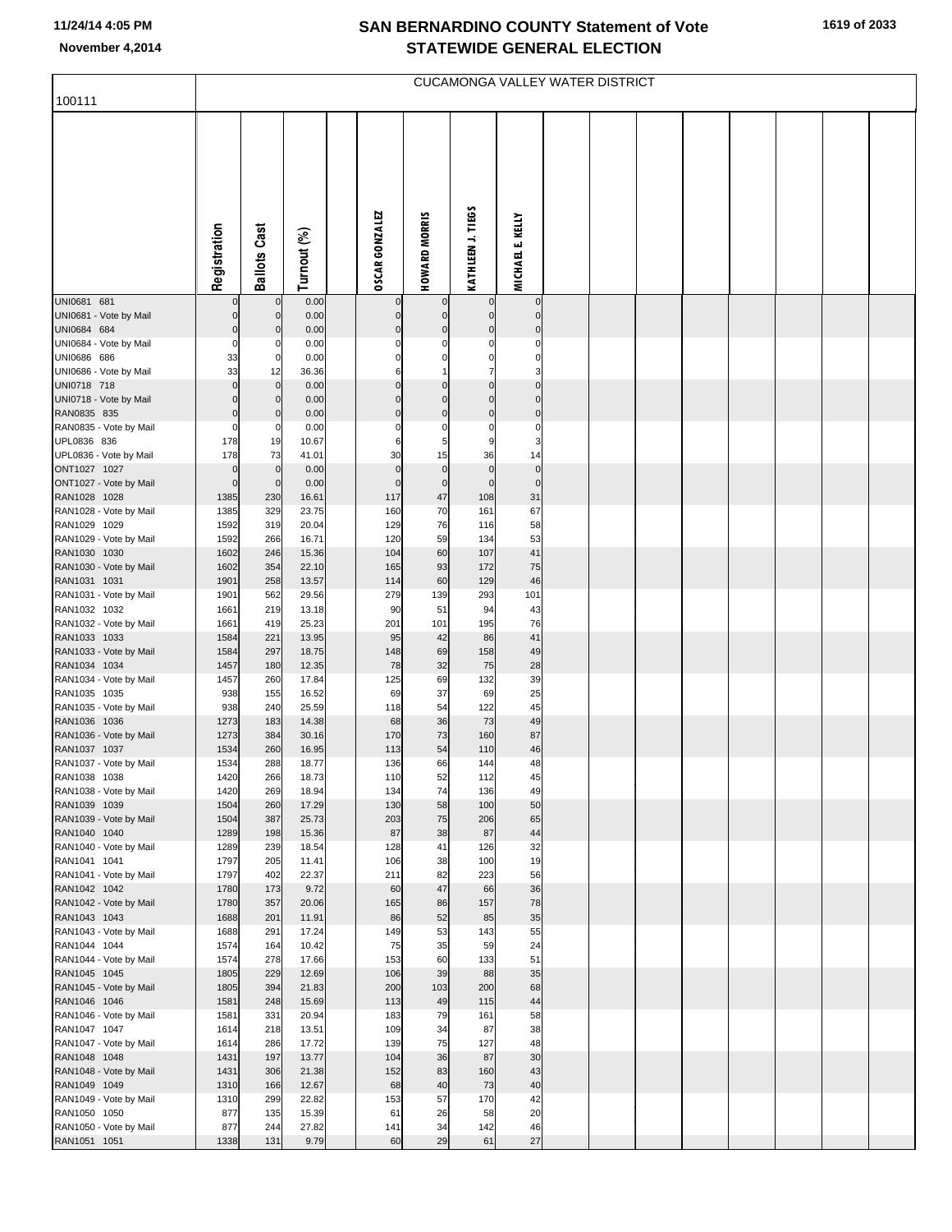F

| 100111                                 |                         |                            |                |                         |                      | <b>CUCAMONGA VALLEY WATER DISTRICT</b> |                            |  |  |  |  |
|----------------------------------------|-------------------------|----------------------------|----------------|-------------------------|----------------------|----------------------------------------|----------------------------|--|--|--|--|
|                                        | Registration            | <b>Ballots Cast</b>        | Turnout (%)    | <b>OSCAR GONZALEZ</b>   | <b>HOWARD MORRIS</b> | KATHLEEN J. TIEGS                      | <b>MICHAEL E. KELLY</b>    |  |  |  |  |
| UNI0681 681<br>UNI0681 - Vote by Mail  | $\mathbf 0$             | $\mathbf 0$<br>$\mathbf 0$ | 0.00<br>0.00   | $\mathbf 0$             | $\mathbf 0$          | $\mathbf 0$<br>$\mathbf 0$             | $\mathbf 0$<br>$\mathbf 0$ |  |  |  |  |
| UNI0684 684                            | $\mathbf 0$             | $\mathbf 0$                | 0.00           | $\Omega$                | $\Omega$             | $\mathbf 0$                            | $\mathbf 0$                |  |  |  |  |
| UNI0684 - Vote by Mail<br>UNI0686 686  | $\mathbf 0$<br>33       | $\Omega$<br>$\mathbf 0$    | 0.00<br>0.00   | $\Omega$<br>$\Omega$    | C<br>$\mathbf 0$     | $\Omega$<br>0                          | $\Omega$<br>0              |  |  |  |  |
| UNI0686 - Vote by Mail                 | 33                      | 12                         | 36.36          | 6                       | $\overline{1}$       | $\overline{7}$                         | 3                          |  |  |  |  |
| UNI0718 718                            | $\mathbf 0$             | $\overline{0}$             | 0.00           | $\Omega$                | $\Omega$             | $\mathbf 0$                            | $\mathbf 0$                |  |  |  |  |
| UNI0718 - Vote by Mail                 | $\Omega$                | $\Omega$                   | 0.00           | $\Omega$                | $\Omega$             | $\Omega$                               | $\Omega$                   |  |  |  |  |
| RAN0835 835<br>RAN0835 - Vote by Mail  | $\mathbf 0$<br>$\Omega$ | $\mathbf{0}$<br>0          | 0.00<br>0.00   | $\mathbf 0$<br>$\Omega$ | $\mathbf 0$<br>C     | $\mathbf 0$<br>$\Omega$                | $\mathbf 0$<br>$\Omega$    |  |  |  |  |
| UPL0836 836                            | 178                     | 19                         | 10.67          | 6                       | 5                    | g                                      | 3                          |  |  |  |  |
| UPL0836 - Vote by Mail                 | 178                     | 73                         | 41.01          | 30                      | 15                   | 36                                     | 14                         |  |  |  |  |
| ONT1027 1027                           | $\mathbf 0$             | $\mathbf 0$                | 0.00           | $\mathbf 0$             | $\mathbf 0$          | $\mathbf 0$                            | $\mathbf 0$                |  |  |  |  |
| ONT1027 - Vote by Mail<br>RAN1028 1028 | $\mathbf 0$             | $\mathbf 0$                | 0.00           | $\Omega$                | $\mathbf 0$          | $\mathbf 0$                            | $\overline{0}$             |  |  |  |  |
| RAN1028 - Vote by Mail                 | 1385<br>1385            | 230<br>329                 | 16.61<br>23.75 | 117<br>160              | 47<br>70             | 108<br>161                             | 31<br>67                   |  |  |  |  |
| RAN1029 1029                           | 1592                    | 319                        | 20.04          | 129                     | 76                   | 116                                    | 58                         |  |  |  |  |
| RAN1029 - Vote by Mail                 | 1592                    | 266                        | 16.71          | 120                     | 59                   | 134                                    | 53                         |  |  |  |  |
| RAN1030 1030                           | 1602                    | 246                        | 15.36          | 104                     | 60                   | 107                                    | 41                         |  |  |  |  |
| RAN1030 - Vote by Mail<br>RAN1031 1031 | 1602<br>1901            | 354<br>258                 | 22.10<br>13.57 | 165<br>114              | 93<br>60             | 172<br>129                             | 75<br>46                   |  |  |  |  |
| RAN1031 - Vote by Mail                 | 1901                    | 562                        | 29.56          | 279                     | 139                  | 293                                    | 101                        |  |  |  |  |
| RAN1032 1032                           | 1661                    | 219                        | 13.18          | 90                      | 51                   | 94                                     | 43                         |  |  |  |  |
| RAN1032 - Vote by Mail                 | 1661                    | 419                        | 25.23          | 201                     | 101                  | 195                                    | 76                         |  |  |  |  |
| RAN1033 1033<br>RAN1033 - Vote by Mail | 1584<br>1584            | 221<br>297                 | 13.95<br>18.75 | 95<br>148               | 42<br>69             | 86<br>158                              | 41<br>49                   |  |  |  |  |
| RAN1034 1034                           | 1457                    | 180                        | 12.35          | 78                      | 32                   | 75                                     | 28                         |  |  |  |  |
| RAN1034 - Vote by Mail                 | 1457                    | 260                        | 17.84          | 125                     | 69                   | 132                                    | 39                         |  |  |  |  |
| RAN1035 1035                           | 938                     | 155                        | 16.52          | 69                      | 37                   | 69                                     | 25                         |  |  |  |  |
| RAN1035 - Vote by Mail<br>RAN1036 1036 | 938<br>1273             | 240<br>183                 | 25.59<br>14.38 | 118<br>68               | 54<br>36             | 122<br>73                              | 45<br>49                   |  |  |  |  |
| RAN1036 - Vote by Mail                 | 1273                    | 384                        | 30.16          | 170                     | 73                   | 160                                    | 87                         |  |  |  |  |
| RAN1037 1037                           | 1534                    | 260                        | 16.95          | 113                     | 54                   | 110                                    | 46                         |  |  |  |  |
| RAN1037 - Vote by Mail                 | 1534                    | 288                        | 18.77          | 136                     | 66                   | 144                                    | 48                         |  |  |  |  |
| RAN1038 1038                           | 1420                    | 266                        | 18.73          | 110                     | 52<br>74             | 112                                    | 45                         |  |  |  |  |
| RAN1038 - Vote by Mail<br>RAN1039 1039 | 1420<br>1504            | 269<br>260                 | 18.94<br>17.29 | 134<br>130              | 58                   | 136<br>100                             | 49<br>50                   |  |  |  |  |
| RAN1039 - Vote by Mail                 | 1504                    | 387                        | 25.73          | 203                     | 75                   | 206                                    | 65                         |  |  |  |  |
| RAN1040 1040                           | 1289                    | 198                        | 15.36          | 87                      | 38                   | 87                                     | 44                         |  |  |  |  |
| RAN1040 - Vote by Mail<br>RAN1041 1041 | 1289<br>1797            | 239<br>205                 | 18.54<br>11.41 | 128<br>106              | 41<br>38             | 126<br>100                             | 32<br>19                   |  |  |  |  |
| RAN1041 - Vote by Mail                 | 1797                    | 402                        | 22.37          | 211                     | 82                   | 223                                    | 56                         |  |  |  |  |
| RAN1042 1042                           | 1780                    | 173                        | 9.72           | 60                      | 47                   | 66                                     | 36                         |  |  |  |  |
| RAN1042 - Vote by Mail                 | 1780                    | 357                        | 20.06          | 165                     | 86                   | 157                                    | 78                         |  |  |  |  |
| RAN1043 1043<br>RAN1043 - Vote by Mail | 1688<br>1688            | 201<br>291                 | 11.91<br>17.24 | 86<br>149               | 52<br>53             | 85<br>143                              | 35<br>55                   |  |  |  |  |
| RAN1044 1044                           | 1574                    | 164                        | 10.42          | 75                      | 35                   | 59                                     | 24                         |  |  |  |  |
| RAN1044 - Vote by Mail                 | 1574                    | 278                        | 17.66          | 153                     | 60                   | 133                                    | 51                         |  |  |  |  |
| RAN1045 1045                           | 1805                    | 229                        | 12.69          | 106                     | 39                   | 88                                     | 35                         |  |  |  |  |
| RAN1045 - Vote by Mail                 | 1805                    | 394                        | 21.83          | 200                     | 103                  | 200                                    | 68                         |  |  |  |  |
| RAN1046 1046<br>RAN1046 - Vote by Mail | 1581<br>1581            | 248<br>331                 | 15.69<br>20.94 | 113<br>183              | 49<br>79             | 115<br>161                             | 44<br>58                   |  |  |  |  |
| RAN1047 1047                           | 1614                    | 218                        | 13.51          | 109                     | 34                   | 87                                     | 38                         |  |  |  |  |
| RAN1047 - Vote by Mail                 | 1614                    | 286                        | 17.72          | 139                     | 75                   | 127                                    | 48                         |  |  |  |  |
| RAN1048 1048                           | 1431                    | 197                        | 13.77          | 104                     | 36                   | 87                                     | 30                         |  |  |  |  |
| RAN1048 - Vote by Mail<br>RAN1049 1049 | 1431<br>1310            | 306<br>166                 | 21.38<br>12.67 | 152<br>68               | 83<br>40             | 160<br>73                              | 43<br>40                   |  |  |  |  |
| RAN1049 - Vote by Mail                 | 1310                    | 299                        | 22.82          | 153                     | 57                   | 170                                    | 42                         |  |  |  |  |
| RAN1050 1050                           | 877                     | 135                        | 15.39          | 61                      | 26                   | 58                                     | 20                         |  |  |  |  |
| RAN1050 - Vote by Mail                 | 877                     | 244                        | 27.82          | 141                     | 34                   | 142                                    | 46                         |  |  |  |  |
| RAN1051 1051                           | 1338                    | 131                        | 9.79           | 60                      | 29                   | 61                                     | 27                         |  |  |  |  |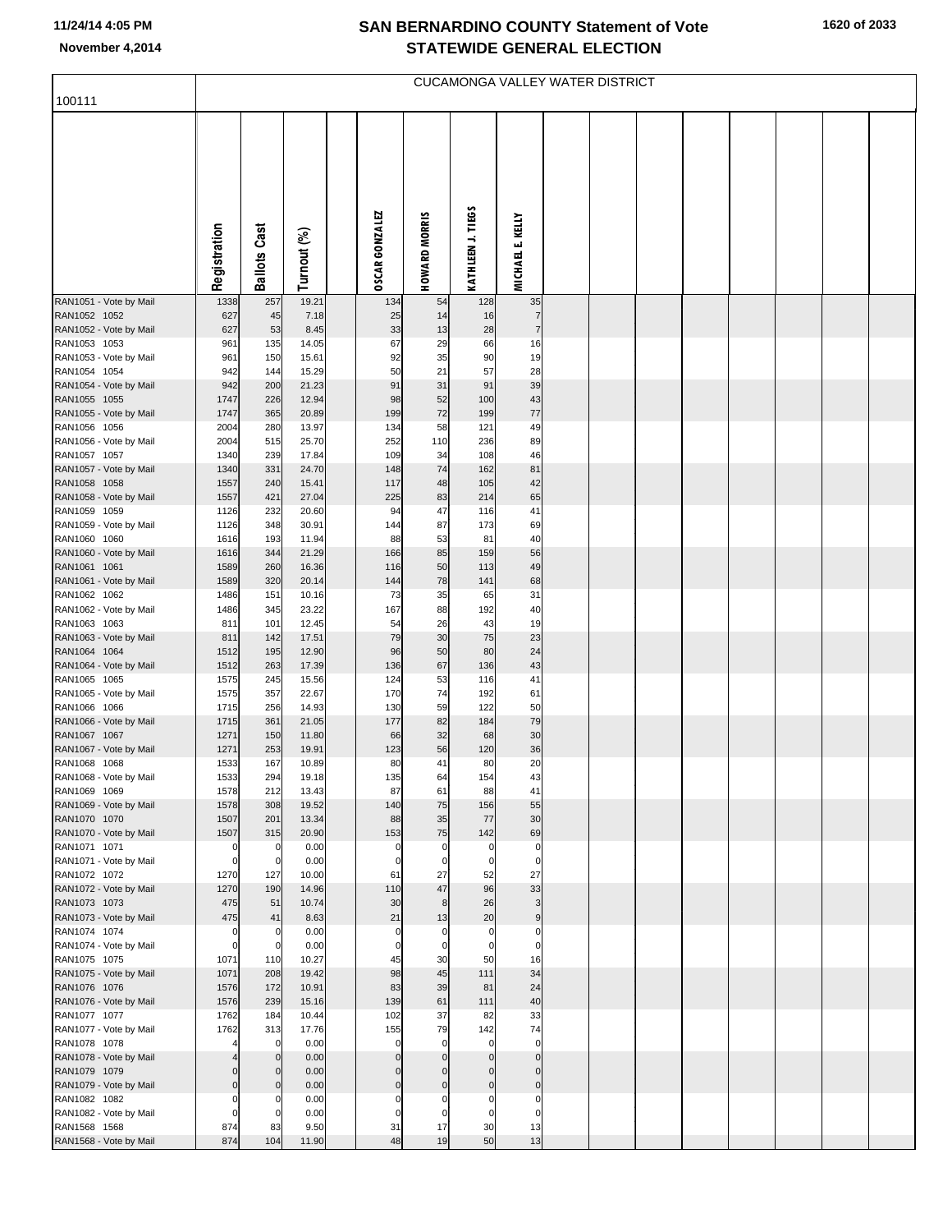| 100111                                 |              |                         |                |                       |                      |                                | CUCAMONGA VALLEY WATER DISTRICT  |  |  |  |  |
|----------------------------------------|--------------|-------------------------|----------------|-----------------------|----------------------|--------------------------------|----------------------------------|--|--|--|--|
|                                        |              |                         |                |                       |                      |                                |                                  |  |  |  |  |
|                                        |              |                         |                |                       |                      |                                |                                  |  |  |  |  |
|                                        |              |                         |                |                       |                      |                                |                                  |  |  |  |  |
|                                        |              |                         |                |                       |                      |                                |                                  |  |  |  |  |
|                                        |              |                         |                |                       |                      |                                |                                  |  |  |  |  |
|                                        | Registration | <b>Ballots Cast</b>     |                | <b>OSCAR GONZALEZ</b> | <b>HOWARD MORRIS</b> | KATHLEEN J. TIEGS              | <b>MICHAEL E. KELLY</b>          |  |  |  |  |
|                                        |              |                         | Turnout (%)    |                       |                      |                                |                                  |  |  |  |  |
|                                        |              |                         |                |                       |                      |                                |                                  |  |  |  |  |
| RAN1051 - Vote by Mail<br>RAN1052 1052 | 1338<br>627  | 257                     | 19.21<br>7.18  | 134<br>25             | 54<br>14             | 128<br>16                      | 35<br>$\overline{7}$             |  |  |  |  |
| RAN1052 - Vote by Mail                 | 627          | 45<br>53                | 8.45           | 33                    | 13                   | 28                             | $\overline{7}$                   |  |  |  |  |
| RAN1053 1053<br>RAN1053 - Vote by Mail | 961<br>961   | 135<br>150              | 14.05<br>15.61 | 67<br>92              | 29<br>35             | 66<br>90                       | 16<br>19                         |  |  |  |  |
| RAN1054 1054                           | 942          | 144                     | 15.29          | 50                    | 21                   | 57                             | 28                               |  |  |  |  |
| RAN1054 - Vote by Mail<br>RAN1055 1055 | 942<br>1747  | 200<br>226              | 21.23<br>12.94 | 91<br>98              | 31<br>52             | 91<br>100                      | 39<br>43                         |  |  |  |  |
| RAN1055 - Vote by Mail                 | 1747         | 365                     | 20.89          | 199                   | 72                   | 199                            | $77$                             |  |  |  |  |
| RAN1056 1056<br>RAN1056 - Vote by Mail | 2004<br>2004 | 280<br>515              | 13.97<br>25.70 | 134<br>252            | 58<br>110            | 121<br>236                     | 49<br>89                         |  |  |  |  |
| RAN1057 1057                           | 1340         | 239                     | 17.84          | 109                   | 34                   | 108                            | 46                               |  |  |  |  |
| RAN1057 - Vote by Mail<br>RAN1058 1058 | 1340<br>1557 | 331<br>240              | 24.70<br>15.41 | 148<br>117            | 74<br>48             | 162<br>105                     | 81<br>42                         |  |  |  |  |
| RAN1058 - Vote by Mail                 | 1557         | 421                     | 27.04          | 225                   | 83                   | 214                            | 65                               |  |  |  |  |
| RAN1059 1059<br>RAN1059 - Vote by Mail | 1126<br>1126 | 232<br>348              | 20.60<br>30.91 | 94<br>144             | 47<br>87             | 116<br>173                     | 41<br>69                         |  |  |  |  |
| RAN1060 1060                           | 1616         | 193                     | 11.94          | 88                    | 53                   | 81                             | 40                               |  |  |  |  |
| RAN1060 - Vote by Mail<br>RAN1061 1061 | 1616<br>1589 | 344<br>260              | 21.29<br>16.36 | 166<br>116            | 85<br>50             | 159<br>113                     | 56<br>49                         |  |  |  |  |
| RAN1061 - Vote by Mail                 | 1589         | 320                     | 20.14          | 144                   | 78                   | 141                            | 68<br>31                         |  |  |  |  |
| RAN1062 1062<br>RAN1062 - Vote by Mail | 1486<br>1486 | 151<br>345              | 10.16<br>23.22 | 73<br>167             | 35<br>88             | 65<br>192                      | 40                               |  |  |  |  |
| RAN1063 1063<br>RAN1063 - Vote by Mail | 811<br>811   | 101<br>142              | 12.45<br>17.51 | 54<br>79              | 26<br>30             | 43<br>75                       | 19<br>23                         |  |  |  |  |
| RAN1064 1064                           | 1512         | 195                     | 12.90          | 96                    | 50                   | 80                             | 24                               |  |  |  |  |
| RAN1064 - Vote by Mail<br>RAN1065 1065 | 1512<br>1575 | 263<br>245              | 17.39<br>15.56 | 136<br>124            | 67<br>53             | 136<br>116                     | 43<br>41                         |  |  |  |  |
| RAN1065 - Vote by Mail                 | 1575         | 357                     | 22.67          | 170                   | 74                   | 192                            | 61                               |  |  |  |  |
| RAN1066 1066<br>RAN1066 - Vote by Mail | 1715<br>1715 | 256<br>361              | 14.93<br>21.05 | 130<br>177            | 59<br>82             | 122<br>184                     | 50<br>79                         |  |  |  |  |
| RAN1067 1067                           | 1271         | 150                     | 11.80          | 66                    | 32                   | 68                             | 30                               |  |  |  |  |
| RAN1067 - Vote by Mail<br>RAN1068 1068 | 1271<br>1533 | 253<br>167              | 19.91<br>10.89 | 123<br>80             | 56<br>41             | 120<br>80                      | 36<br>20                         |  |  |  |  |
| RAN1068 - Vote by Mail                 | 1533         | 294                     | 19.18          | 135                   | 64                   | 154                            | 43                               |  |  |  |  |
| RAN1069 1069<br>RAN1069 - Vote by Mail | 1578<br>1578 | 212<br>308              | 13.43<br>19.52 | 87<br>140             | 61<br>75             | 88<br>156                      | 41<br>55                         |  |  |  |  |
| RAN1070 1070                           | 1507<br>1507 | 201<br>315              | 13.34<br>20.90 | 88<br>153             | 35<br>75             | 77<br>142                      | 30<br>69                         |  |  |  |  |
| RAN1070 - Vote by Mail<br>RAN1071 1071 | $\mathbf 0$  | 0                       | 0.00           | $\Omega$              | $\mathbf 0$          | $\mathbf 0$                    | $\mathbf{0}$                     |  |  |  |  |
| RAN1071 - Vote by Mail<br>RAN1072 1072 | C<br>1270    | $\mathbf 0$<br>127      | 0.00<br>10.00  | 61                    | 0<br>27              | 0<br>52                        | $\overline{0}$<br>27             |  |  |  |  |
| RAN1072 - Vote by Mail                 | 1270         | 190                     | 14.96          | 110                   | 47                   | 96                             | 33                               |  |  |  |  |
| RAN1073 1073<br>RAN1073 - Vote by Mail | 475<br>475   | 51<br>41                | 10.74<br>8.63  | 30<br>21              | 8<br>13              | 26<br>20                       | 3<br>9                           |  |  |  |  |
| RAN1074 1074                           | $\Omega$     | $\Omega$                | 0.00           | $\mathbf 0$           | $\mathbf 0$          | $\mathbf 0$                    | $\Omega$                         |  |  |  |  |
| RAN1074 - Vote by Mail<br>RAN1075 1075 | C<br>1071    | $\mathbf 0$<br>110      | 0.00<br>10.27  | 45                    | $\Omega$<br>30       | $\mathbf 0$<br>50              | $\Omega$<br>16                   |  |  |  |  |
| RAN1075 - Vote by Mail                 | 1071         | 208                     | 19.42          | 98                    | 45                   | 111                            | 34                               |  |  |  |  |
| RAN1076 1076<br>RAN1076 - Vote by Mail | 1576<br>1576 | 172<br>239              | 10.91<br>15.16 | 83<br>139             | 39<br>61             | 81<br>111                      | 24<br>40                         |  |  |  |  |
| RAN1077 1077                           | 1762         | 184                     | 10.44          | 102                   | 37                   | 82                             | 33                               |  |  |  |  |
| RAN1077 - Vote by Mail<br>RAN1078 1078 | 1762         | 313<br>$\mathbf 0$      | 17.76<br>0.00  | 155<br>$\Omega$       | 79<br>$\mathbf 0$    | 142<br>$\mathbf 0$             | 74<br>$\circ$                    |  |  |  |  |
| RAN1078 - Vote by Mail<br>RAN1079 1079 |              | $\mathbf 0$<br>0        | 0.00<br>0.00   |                       | $\Omega$             | $\mathbf{0}$<br>$\overline{0}$ | $\overline{0}$<br>$\overline{0}$ |  |  |  |  |
| RAN1079 - Vote by Mail                 |              | $\overline{0}$          | 0.00           | $\Omega$              | $\Omega$             | $\overline{0}$                 | $\overline{0}$                   |  |  |  |  |
| RAN1082 1082<br>RAN1082 - Vote by Mail |              | $\Omega$<br>$\mathbf 0$ | 0.00<br>0.00   |                       |                      | $\mathbf 0$<br>0               | $\mathbf 0$<br>$\mathbf 0$       |  |  |  |  |
| RAN1568 1568                           | 874          | 83                      | 9.50           | 31                    | 17                   | 30                             | 13                               |  |  |  |  |
| RAN1568 - Vote by Mail                 | 874          | 104                     | 11.90          | 48                    | 19                   | 50                             | 13                               |  |  |  |  |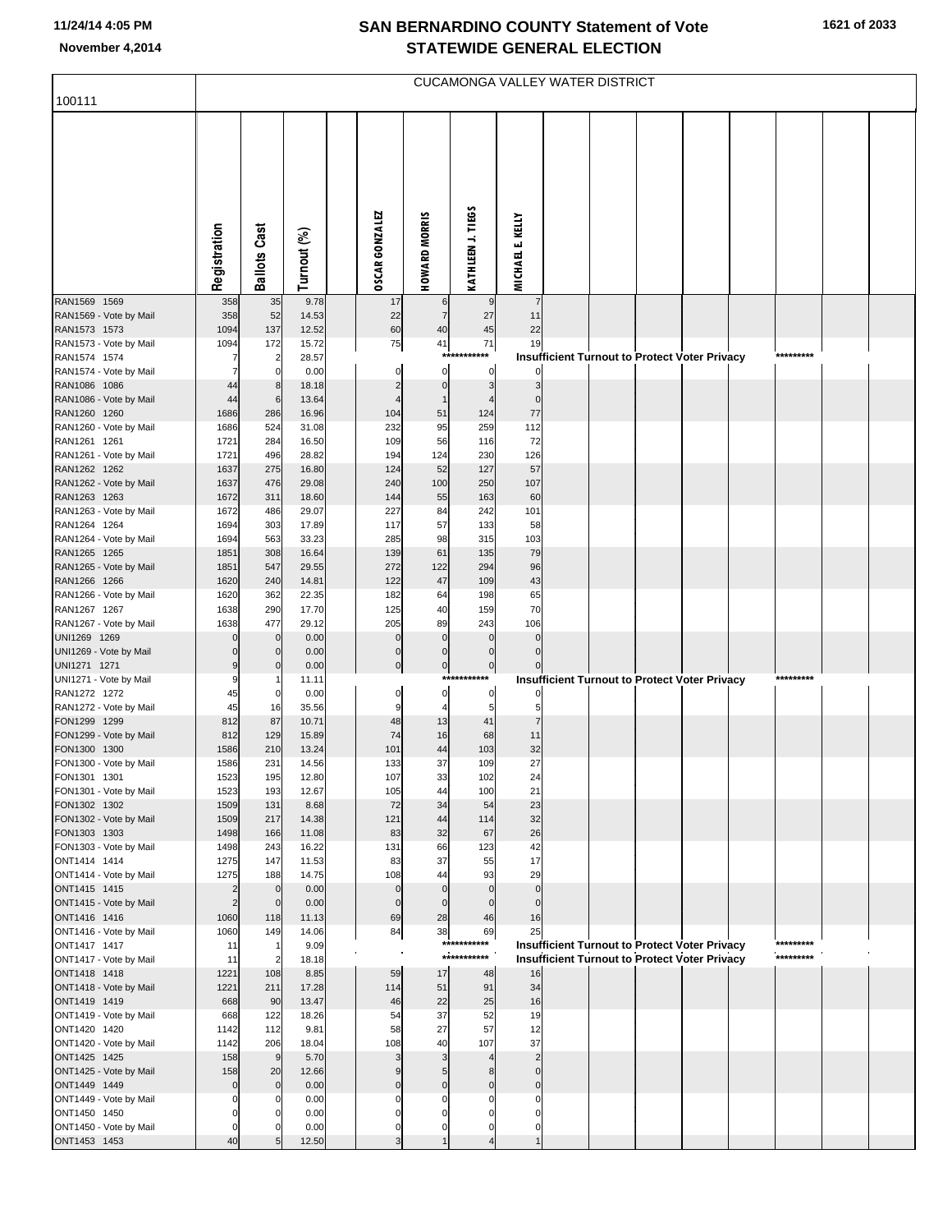| 100111                                 |                        |                     |                |                          |                            | CUCAMONGA VALLEY WATER DISTRICT |                          |  |                                                      |                        |  |
|----------------------------------------|------------------------|---------------------|----------------|--------------------------|----------------------------|---------------------------------|--------------------------|--|------------------------------------------------------|------------------------|--|
|                                        |                        |                     |                |                          |                            |                                 |                          |  |                                                      |                        |  |
|                                        |                        |                     |                |                          |                            |                                 |                          |  |                                                      |                        |  |
|                                        |                        |                     |                |                          |                            |                                 |                          |  |                                                      |                        |  |
|                                        |                        |                     |                |                          |                            |                                 |                          |  |                                                      |                        |  |
|                                        |                        |                     |                |                          |                            |                                 |                          |  |                                                      |                        |  |
|                                        |                        |                     |                |                          |                            |                                 |                          |  |                                                      |                        |  |
|                                        |                        |                     |                |                          |                            |                                 |                          |  |                                                      |                        |  |
|                                        | Registration           | <b>Ballots Cast</b> | Turnout (%)    | <b>OSCAR GONZALEZ</b>    | <b>HOWARD MORRIS</b>       | KATHLEEN J. TIEGS               | <b>MICHAEL E. KELLY</b>  |  |                                                      |                        |  |
| RAN1569 1569                           |                        |                     | 9.78           |                          |                            |                                 | 7                        |  |                                                      |                        |  |
| RAN1569 - Vote by Mail                 | 358<br>358             | 35<br>52            | 14.53          | 17<br>22                 | 6<br>$\overline{7}$        | 27                              | 11                       |  |                                                      |                        |  |
| RAN1573 1573                           | 1094                   | 137                 | 12.52          | 60                       | 40                         | 45                              | 22                       |  |                                                      |                        |  |
| RAN1573 - Vote by Mail<br>RAN1574 1574 | 1094                   | 172<br>2            | 15.72<br>28.57 | 75                       | 41<br>***                  | 71<br>***                       | 19                       |  | Insufficient Turnout to Protect Voter Privacy        | *********              |  |
| RAN1574 - Vote by Mail                 |                        | $\Omega$            | 0.00           | $\Omega$                 | 0                          | 0                               |                          |  |                                                      |                        |  |
| RAN1086 1086                           | 44<br>44               | 8<br>6              | 18.18<br>13.64 |                          | $\mathbf 0$<br>$\mathbf 1$ | 3                               | 3<br>$\mathbf{0}$        |  |                                                      |                        |  |
| RAN1086 - Vote by Mail<br>RAN1260 1260 | 1686                   | 286                 | 16.96          | 104                      | 51                         | 124                             | 77                       |  |                                                      |                        |  |
| RAN1260 - Vote by Mail                 | 1686                   | 524                 | 31.08          | 232                      | 95                         | 259                             | 112                      |  |                                                      |                        |  |
| RAN1261 1261<br>RAN1261 - Vote by Mail | 1721<br>1721           | 284<br>496          | 16.50<br>28.82 | 109<br>194               | 56<br>124                  | 116<br>230                      | 72<br>126                |  |                                                      |                        |  |
| RAN1262 1262                           | 1637                   | 275                 | 16.80          | 124                      | 52                         | 127                             | 57                       |  |                                                      |                        |  |
| RAN1262 - Vote by Mail                 | 1637                   | 476                 | 29.08          | 240                      | 100                        | 250                             | 107                      |  |                                                      |                        |  |
| RAN1263 1263<br>RAN1263 - Vote by Mail | 1672<br>1672           | 311<br>486          | 18.60<br>29.07 | 144<br>227               | 55<br>84                   | 163<br>242                      | 60<br>101                |  |                                                      |                        |  |
| RAN1264 1264                           | 1694                   | 303                 | 17.89          | 117                      | 57                         | 133                             | 58                       |  |                                                      |                        |  |
| RAN1264 - Vote by Mail                 | 1694                   | 563                 | 33.23          | 285                      | 98                         | 315                             | 103                      |  |                                                      |                        |  |
| RAN1265 1265<br>RAN1265 - Vote by Mail | 1851<br>1851           | 308<br>547          | 16.64<br>29.55 | 139<br>272               | 61<br>122                  | 135<br>294                      | 79<br>96                 |  |                                                      |                        |  |
| RAN1266 1266                           | 1620                   | 240                 | 14.81          | 122                      | 47                         | 109                             | 43                       |  |                                                      |                        |  |
| RAN1266 - Vote by Mail<br>RAN1267 1267 | 1620<br>1638           | 362<br>290          | 22.35<br>17.70 | 182<br>125               | 64<br>40                   | 198<br>159                      | 65<br>70                 |  |                                                      |                        |  |
| RAN1267 - Vote by Mail                 | 1638                   | 477                 | 29.12          | 205                      | 89                         | 243                             | 106                      |  |                                                      |                        |  |
| UNI1269 1269                           |                        | $\mathbf 0$         | 0.00           | $\Omega$                 | $\Omega$                   | $\Omega$                        | $\Omega$                 |  |                                                      |                        |  |
| UNI1269 - Vote by Mail<br>UNI1271 1271 |                        | $\mathbf 0$         | 0.00<br>0.00   | $\Omega$<br>$\mathbf{0}$ | $\Omega$<br>$\mathbf 0$    | $\Omega$<br>$\overline{0}$      | $\Omega$                 |  |                                                      |                        |  |
| UNI1271 - Vote by Mail                 | 9                      |                     | 11.11          |                          |                            | ***********                     |                          |  | Insufficient Turnout to Protect Voter Privacy        | *********              |  |
| RAN1272 1272                           | 45<br>45               | 0                   | 0.00<br>35.56  | 0<br>9                   | 0<br>4                     | $\overline{0}$<br>5             |                          |  |                                                      |                        |  |
| RAN1272 - Vote by Mail<br>FON1299 1299 | 812                    | 16<br>87            | 10.71          | 48                       | 13                         | 41                              | 5                        |  |                                                      |                        |  |
| FON1299 - Vote by Mail                 | 812                    | 129                 | 15.89          | 74                       | 16                         | 68                              | 11                       |  |                                                      |                        |  |
| FON1300 1300<br>FON1300 - Vote by Mail | 1586<br>1586           | 210<br>231          | 13.24<br>14.56 | 101<br>133               | 44<br>37                   | 103<br>109                      | 32<br>27                 |  |                                                      |                        |  |
| FON1301 1301                           | 1523                   | 195                 | 12.80          | 107                      | 33                         | 102                             | 24                       |  |                                                      |                        |  |
| FON1301 - Vote by Mail                 | 1523                   | 193                 | 12.67          | 105                      | 44                         | 100                             | 21                       |  |                                                      |                        |  |
| FON1302 1302<br>FON1302 - Vote by Mail | 1509<br>1509           | 131<br>217          | 8.68<br>14.38  | 72<br>121                | 34<br>44                   | 54<br>114                       | 23<br>32                 |  |                                                      |                        |  |
| FON1303 1303                           | 1498                   | 166                 | 11.08          | 83                       | 32                         | 67                              | 26                       |  |                                                      |                        |  |
| FON1303 - Vote by Mail<br>ONT1414 1414 | 1498<br>1275           | 243<br>147          | 16.22<br>11.53 | 131<br>83                | 66<br>37                   | 123<br>55                       | 42<br>17                 |  |                                                      |                        |  |
| ONT1414 - Vote by Mail                 | 1275                   | 188                 | 14.75          | 108                      | 44                         | 93                              | 29                       |  |                                                      |                        |  |
| ONT1415 1415                           | $\overline{2}$         | $\mathbf 0$         | 0.00           | $\Omega$                 | $\Omega$                   | $\Omega$                        | $\pmb{0}$                |  |                                                      |                        |  |
| ONT1415 - Vote by Mail<br>ONT1416 1416 | $\overline{c}$<br>1060 | $\Omega$<br>118     | 0.00<br>11.13  | $\Omega$<br>69           | $\Omega$<br>28             | $\Omega$<br>46                  | $\mathbf 0$<br>16        |  |                                                      |                        |  |
| ONT1416 - Vote by Mail                 | 1060                   | 149                 | 14.06          | 84                       | 38                         | 69                              | 25                       |  |                                                      |                        |  |
| ONT1417 1417<br>ONT1417 - Vote by Mail | 11<br>11               |                     | 9.09<br>18.18  |                          |                            | ***********<br>***********      |                          |  | <b>Insufficient Turnout to Protect Voter Privacy</b> | *********<br>********* |  |
| ONT1418 1418                           | 1221                   | 108                 | 8.85           | 59                       | 17                         | 48                              | 16                       |  | <b>Insufficient Turnout to Protect Voter Privacy</b> |                        |  |
| ONT1418 - Vote by Mail                 | 1221                   | 211                 | 17.28          | 114                      | 51                         | 91                              | 34                       |  |                                                      |                        |  |
| ONT1419 1419<br>ONT1419 - Vote by Mail | 668<br>668             | 90<br>122           | 13.47<br>18.26 | 46<br>54                 | 22<br>37                   | 25<br>52                        | 16<br>19                 |  |                                                      |                        |  |
| ONT1420 1420                           | 1142                   | 112                 | 9.81           | 58                       | 27                         | 57                              | 12                       |  |                                                      |                        |  |
| ONT1420 - Vote by Mail                 | 1142                   | 206                 | 18.04          | 108                      | 40                         | 107                             | 37                       |  |                                                      |                        |  |
| ONT1425 1425<br>ONT1425 - Vote by Mail | 158<br>158             | 9<br>20             | 5.70<br>12.66  | э                        | 3<br>5                     | 8                               | $\mathbf 0$              |  |                                                      |                        |  |
| ONT1449 1449                           | $\Omega$               | $\mathbf 0$         | 0.00           |                          | $\Omega$                   | $\Omega$                        | $\mathbf 0$              |  |                                                      |                        |  |
| ONT1449 - Vote by Mail<br>ONT1450 1450 |                        |                     | 0.00<br>0.00   | C                        |                            | 0                               | 0<br>O                   |  |                                                      |                        |  |
| ONT1450 - Vote by Mail                 | $\Omega$               |                     | 0.00           | 0                        | 0                          | 0                               | 0                        |  |                                                      |                        |  |
| ONT1453 1453                           | 40                     |                     | 12.50          | 3                        | $\overline{1}$             | $\overline{4}$                  | $\overline{\phantom{a}}$ |  |                                                      |                        |  |